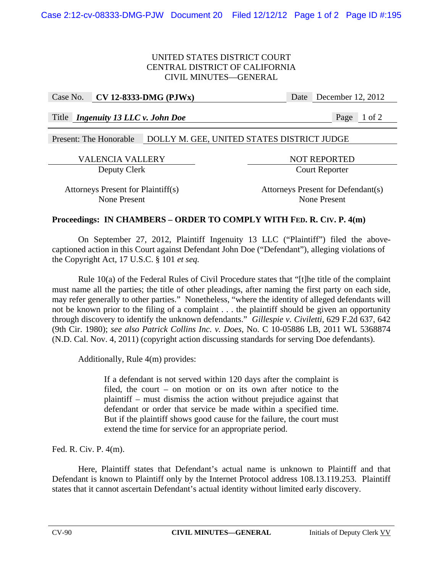## UNITED STATES DISTRICT COURT CENTRAL DISTRICT OF CALIFORNIA CIVIL MINUTES—GENERAL

## Case No. **CV 12-8333-DMG (PJWx)** Date December 12, 2012

Title *Ingenuity 13 LLC v. John Doe* Page 1 of 2

Present: The Honorable DOLLY M. GEE, UNITED STATES DISTRICT JUDGE

VALENCIA VALLERY NOT REPORTED Deputy Clerk Court Reporter

Attorneys Present for Plaintiff(s) Attorneys Present for Defendant(s) None Present None Present

# **Proceedings: IN CHAMBERS – ORDER TO COMPLY WITH FED. R. CIV. P. 4(m)**

 On September 27, 2012, Plaintiff Ingenuity 13 LLC ("Plaintiff") filed the abovecaptioned action in this Court against Defendant John Doe ("Defendant"), alleging violations of the Copyright Act, 17 U.S.C. § 101 *et seq.*

 Rule 10(a) of the Federal Rules of Civil Procedure states that "[t]he title of the complaint must name all the parties; the title of other pleadings, after naming the first party on each side, may refer generally to other parties." Nonetheless, "where the identity of alleged defendants will not be known prior to the filing of a complaint . . . the plaintiff should be given an opportunity through discovery to identify the unknown defendants." *Gillespie v. Civiletti*, 629 F.2d 637, 642 (9th Cir. 1980); *see also Patrick Collins Inc. v. Does*, No. C 10-05886 LB, 2011 WL 5368874 (N.D. Cal. Nov. 4, 2011) (copyright action discussing standards for serving Doe defendants).

Additionally, Rule 4(m) provides:

If a defendant is not served within 120 days after the complaint is filed, the court – on motion or on its own after notice to the plaintiff – must dismiss the action without prejudice against that defendant or order that service be made within a specified time. But if the plaintiff shows good cause for the failure, the court must extend the time for service for an appropriate period.

Fed. R. Civ. P. 4(m).

 Here, Plaintiff states that Defendant's actual name is unknown to Plaintiff and that Defendant is known to Plaintiff only by the Internet Protocol address 108.13.119.253. Plaintiff states that it cannot ascertain Defendant's actual identity without limited early discovery.